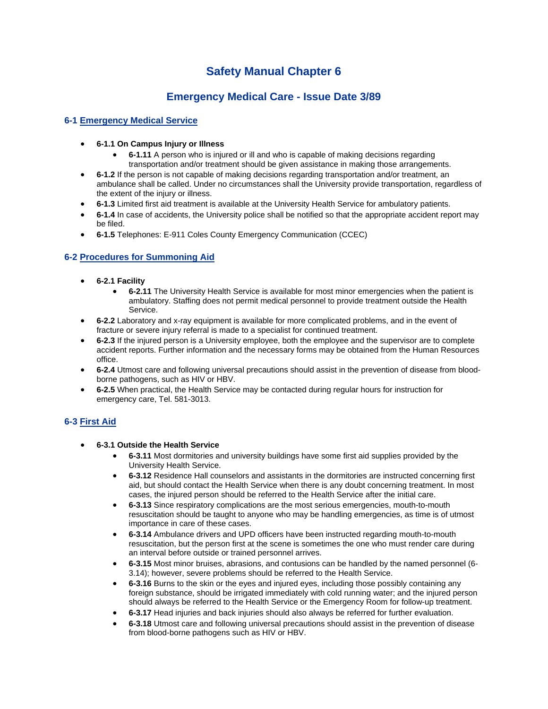# **Safety Manual Chapter 6**

## **Emergency Medical Care - Issue Date 3/89**

### **6-1 Emergency Medical Service**

- **6-1.1 On Campus Injury or Illness**
	- **6-1.11** A person who is injured or ill and who is capable of making decisions regarding transportation and/or treatment should be given assistance in making those arrangements.
- **6-1.2** If the person is not capable of making decisions regarding transportation and/or treatment, an ambulance shall be called. Under no circumstances shall the University provide transportation, regardless of the extent of the injury or illness.
- **6-1.3** Limited first aid treatment is available at the University Health Service for ambulatory patients.
- **6-1.4** In case of accidents, the University police shall be notified so that the appropriate accident report may be filed.
- **6-1.5** Telephones: E-911 Coles County Emergency Communication (CCEC)

#### **6-2 Procedures for Summoning Aid**

- **6-2.1 Facility**
	- **6-2.11** The University Health Service is available for most minor emergencies when the patient is ambulatory. Staffing does not permit medical personnel to provide treatment outside the Health Service.
- **6-2.2** Laboratory and x-ray equipment is available for more complicated problems, and in the event of fracture or severe injury referral is made to a specialist for continued treatment.
- **6-2.3** If the injured person is a University employee, both the employee and the supervisor are to complete accident reports. Further information and the necessary forms may be obtained from the Human Resources office.
- **6-2.4** Utmost care and following universal precautions should assist in the prevention of disease from bloodborne pathogens, such as HIV or HBV.
- **6-2.5** When practical, the Health Service may be contacted during regular hours for instruction for emergency care, Tel. 581-3013.

#### **6-3 First Aid**

- **6-3.1 Outside the Health Service**
	- **6-3.11** Most dormitories and university buildings have some first aid supplies provided by the University Health Service.
	- **6-3.12** Residence Hall counselors and assistants in the dormitories are instructed concerning first aid, but should contact the Health Service when there is any doubt concerning treatment. In most cases, the injured person should be referred to the Health Service after the initial care.
	- **6-3.13** Since respiratory complications are the most serious emergencies, mouth-to-mouth resuscitation should be taught to anyone who may be handling emergencies, as time is of utmost importance in care of these cases.
	- **6-3.14** Ambulance drivers and UPD officers have been instructed regarding mouth-to-mouth resuscitation, but the person first at the scene is sometimes the one who must render care during an interval before outside or trained personnel arrives.
	- **6-3.15** Most minor bruises, abrasions, and contusions can be handled by the named personnel (6- 3.14); however, severe problems should be referred to the Health Service.
	- **6-3.16** Burns to the skin or the eyes and injured eyes, including those possibly containing any foreign substance, should be irrigated immediately with cold running water; and the injured person should always be referred to the Health Service or the Emergency Room for follow-up treatment.
	- **6-3.17** Head injuries and back injuries should also always be referred for further evaluation.
	- **6-3.18** Utmost care and following universal precautions should assist in the prevention of disease from blood-borne pathogens such as HIV or HBV.